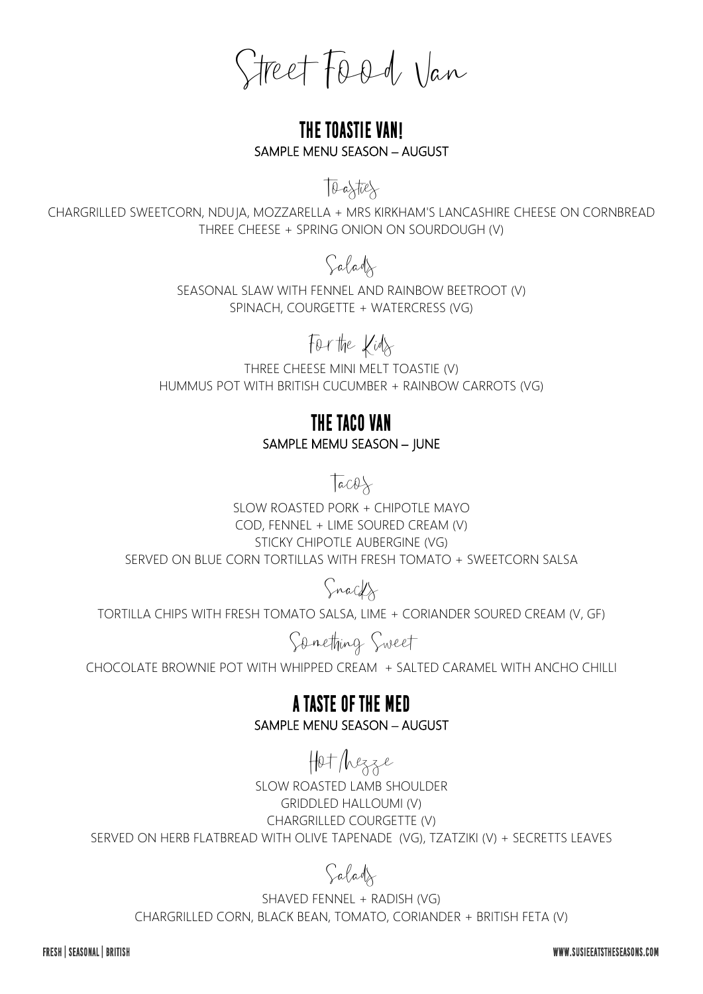Street Food Van

### **The toastie van!** SAMPLE MENU SEASON – AUGUST

Toasties

CHARGRILLED SWEETCORN, NDUJA, MOZZARELLA + MRS KIRKHAM'S LANCASHIRE CHEESE ON CORNBREAD THREE CHEESE + SPRING ONION ON SOURDOUGH (V)

## Salads

SEASONAL SLAW WITH FENNEL AND RAINBOW BEETROOT (V) SPINACH, COURGETTE + WATERCRESS (VG)

# For the Kids

THREE CHEESE MINI MELT TOASTIE (V) HUMMUS POT WITH BRITISH CUCUMBER + RAINBOW CARROTS (VG)

### **THE taco VAN** SAMPLE MEMU SEASON – JUNE

 $Tacos$ 

SLOW ROASTED PORK + CHIPOTLE MAYO COD, FENNEL + LIME SOURED CREAM (V) STICKY CHIPOTLE AUBERGINE (VG) SERVED ON BLUE CORN TORTILLAS WITH FRESH TOMATO + SWEETCORN SALSA

Snacks

TORTILLA CHIPS WITH FRESH TOMATO SALSA, LIME + CORIANDER SOURED CREAM (V, GF)

Something Sweet

CHOCOLATE BROWNIE POT WITH WHIPPED CREAM + SALTED CARAMEL WITH ANCHO CHILLI

**A TASTE OF THE MED** SAMPLE MENU SEASON – AUGUST

# Hot Mezze

SLOW ROASTED LAMB SHOULDER GRIDDLED HALLOUMI (V) CHARGRILLED COURGETTE (V) SERVED ON HERB FLATBREAD WITH OLIVE TAPENADE (VG), TZATZIKI (V) + SECRETTS LEAVES

# Salads

SHAVED FENNEL + RADISH (VG) CHARGRILLED CORN, BLACK BEAN, TOMATO, CORIANDER + BRITISH FETA (V)

FRESH | SEASONAL | BRITISH

WWW.SUSIFFATSTHESFASONS.COM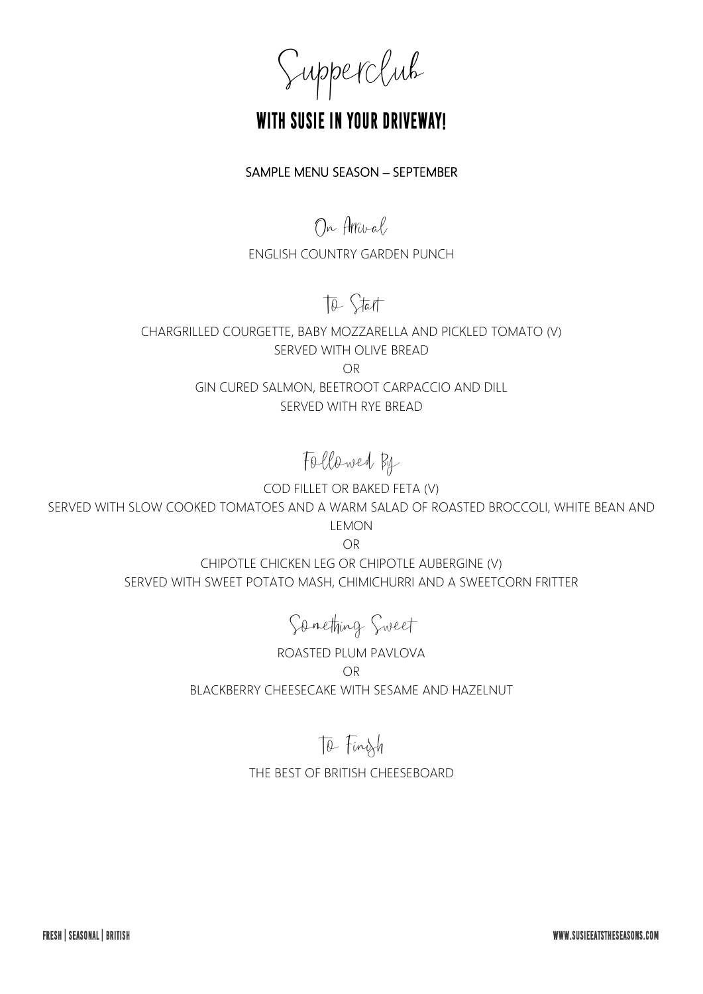Supperclub

## **With Susie in your driveway!**

#### SAMPLE MENU SEASON – SEPTEMBER

On Arrival

ENGLISH COUNTRY GARDEN PUNCH

## To Start

CHARGRILLED COURGETTE, BABY MOZZARELLA AND PICKLED TOMATO (V) SERVED WITH OLIVE BREAD OR GIN CURED SALMON, BEETROOT CARPACCIO AND DILL SERVED WITH RYE BREAD

Followed By

COD FILLET OR BAKED FETA (V) SERVED WITH SLOW COOKED TOMATOES AND A WARM SALAD OF ROASTED BROCCOLI, WHITE BEAN AND LEMON

OR

CHIPOTLE CHICKEN LEG OR CHIPOTLE AUBERGINE (V) SERVED WITH SWEET POTATO MASH, CHIMICHURRI AND A SWEETCORN FRITTER

Something Sweet

ROASTED PLUM PAVLOVA OR BLACKBERRY CHEESECAKE WITH SESAME AND HAZELNUT

### To Finish

THE BEST OF BRITISH CHEESEBOARD